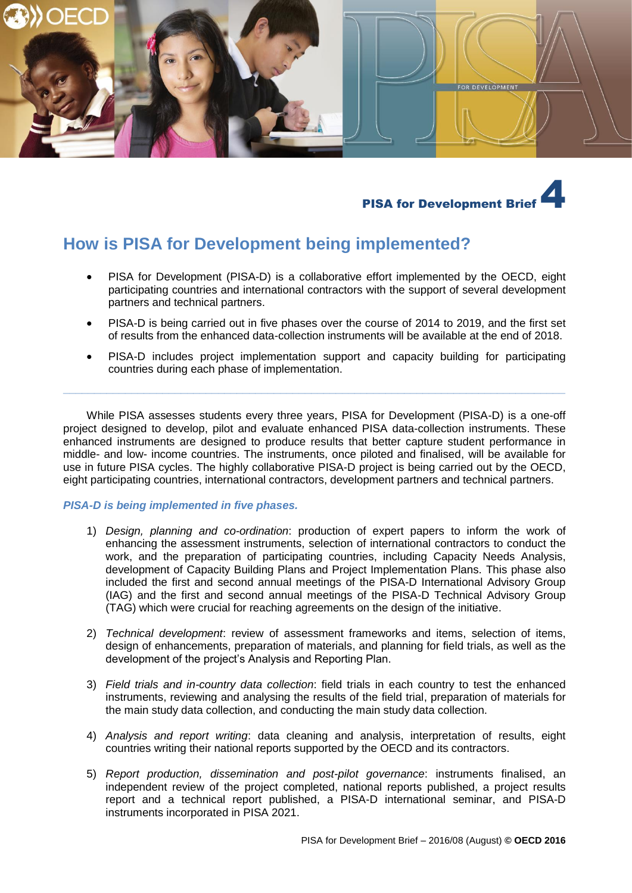



# **How is PISA for Development being implemented?**

- PISA for Development (PISA-D) is a collaborative effort implemented by the OECD, eight participating countries and international contractors with the support of several development partners and technical partners.
- PISA-D is being carried out in five phases over the course of 2014 to 2019, and the first set of results from the enhanced data-collection instruments will be available at the end of 2018.
- PISA-D includes project implementation support and capacity building for participating countries during each phase of implementation.

While PISA assesses students every three years, PISA for Development (PISA-D) is a one-off project designed to develop, pilot and evaluate enhanced PISA data-collection instruments. These enhanced instruments are designed to produce results that better capture student performance in middle- and low- income countries. The instruments, once piloted and finalised, will be available for use in future PISA cycles. The highly collaborative PISA-D project is being carried out by the OECD, eight participating countries, international contractors, development partners and technical partners.

**\_\_\_\_\_\_\_\_\_\_\_\_\_\_\_\_\_\_\_\_\_\_\_\_\_\_\_\_\_\_\_\_\_\_\_\_\_\_\_\_\_\_\_\_\_\_\_\_\_\_\_\_\_\_\_\_\_\_\_\_\_\_\_\_\_\_\_\_\_\_\_\_\_\_\_\_\_\_\_\_\_**

## *PISA-D is being implemented in five phases.*

- 1) *Design, planning and co-ordination*: production of expert papers to inform the work of enhancing the assessment instruments, selection of international contractors to conduct the work, and the preparation of participating countries, including Capacity Needs Analysis, development of Capacity Building Plans and Project Implementation Plans. This phase also included the first and second annual meetings of the PISA-D International Advisory Group (IAG) and the first and second annual meetings of the PISA-D Technical Advisory Group (TAG) which were crucial for reaching agreements on the design of the initiative.
- 2) *Technical development*: review of assessment frameworks and items, selection of items, design of enhancements, preparation of materials, and planning for field trials, as well as the development of the project's Analysis and Reporting Plan.
- 3) *Field trials and in-country data collection*: field trials in each country to test the enhanced instruments, reviewing and analysing the results of the field trial, preparation of materials for the main study data collection, and conducting the main study data collection.
- 4) *Analysis and report writing*: data cleaning and analysis, interpretation of results, eight countries writing their national reports supported by the OECD and its contractors.
- 5) *Report production, dissemination and post-pilot governance*: instruments finalised, an independent review of the project completed, national reports published, a project results report and a technical report published, a PISA-D international seminar, and PISA-D instruments incorporated in PISA 2021.